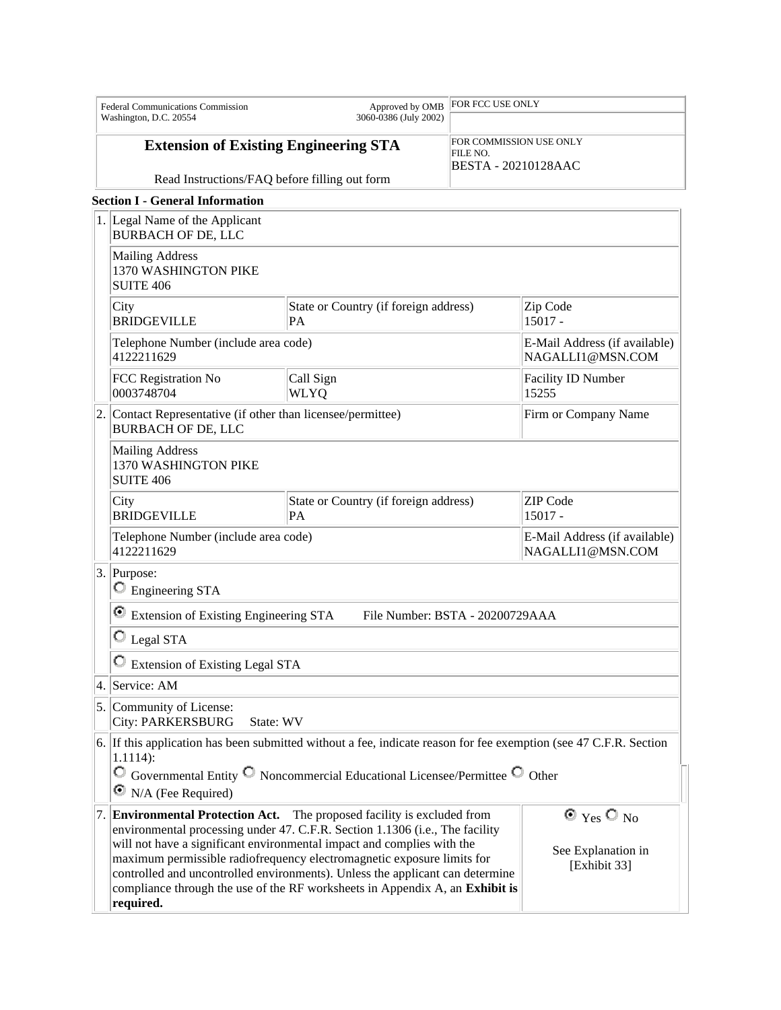| <b>Federal Communications Commission</b><br>Washington, D.C. 20554 |                                                                                                                                                                                                                                                                                                                                                                                                                                                                                                                                                               | Approved by OMB<br>3060-0386 (July 2002)           | FOR FCC USE ONLY                    |                                                   |  |
|--------------------------------------------------------------------|---------------------------------------------------------------------------------------------------------------------------------------------------------------------------------------------------------------------------------------------------------------------------------------------------------------------------------------------------------------------------------------------------------------------------------------------------------------------------------------------------------------------------------------------------------------|----------------------------------------------------|-------------------------------------|---------------------------------------------------|--|
|                                                                    |                                                                                                                                                                                                                                                                                                                                                                                                                                                                                                                                                               |                                                    |                                     |                                                   |  |
|                                                                    | <b>Extension of Existing Engineering STA</b>                                                                                                                                                                                                                                                                                                                                                                                                                                                                                                                  |                                                    | FOR COMMISSION USE ONLY<br>FILE NO. |                                                   |  |
| Read Instructions/FAQ before filling out form                      |                                                                                                                                                                                                                                                                                                                                                                                                                                                                                                                                                               |                                                    |                                     | <b>BESTA - 20210128AAC</b>                        |  |
|                                                                    | <b>Section I - General Information</b>                                                                                                                                                                                                                                                                                                                                                                                                                                                                                                                        |                                                    |                                     |                                                   |  |
|                                                                    | 1. Legal Name of the Applicant<br><b>BURBACH OF DE, LLC</b>                                                                                                                                                                                                                                                                                                                                                                                                                                                                                                   |                                                    |                                     |                                                   |  |
|                                                                    | <b>Mailing Address</b><br>1370 WASHINGTON PIKE<br><b>SUITE 406</b>                                                                                                                                                                                                                                                                                                                                                                                                                                                                                            |                                                    |                                     |                                                   |  |
|                                                                    | City<br><b>BRIDGEVILLE</b>                                                                                                                                                                                                                                                                                                                                                                                                                                                                                                                                    | State or Country (if foreign address)<br><b>PA</b> |                                     | Zip Code<br>$15017 -$                             |  |
|                                                                    | Telephone Number (include area code)<br>4122211629                                                                                                                                                                                                                                                                                                                                                                                                                                                                                                            |                                                    |                                     | E-Mail Address (if available)<br>NAGALLI1@MSN.COM |  |
|                                                                    | FCC Registration No<br>0003748704                                                                                                                                                                                                                                                                                                                                                                                                                                                                                                                             | Call Sign<br>WLYQ                                  |                                     | Facility ID Number<br>15255                       |  |
| 2.                                                                 | Contact Representative (if other than licensee/permittee)<br><b>BURBACH OF DE, LLC</b>                                                                                                                                                                                                                                                                                                                                                                                                                                                                        |                                                    | Firm or Company Name                |                                                   |  |
|                                                                    | <b>Mailing Address</b><br>1370 WASHINGTON PIKE<br><b>SUITE 406</b>                                                                                                                                                                                                                                                                                                                                                                                                                                                                                            |                                                    |                                     |                                                   |  |
|                                                                    | City<br><b>BRIDGEVILLE</b>                                                                                                                                                                                                                                                                                                                                                                                                                                                                                                                                    | State or Country (if foreign address)<br>PA        |                                     | <b>ZIP</b> Code<br>15017 -                        |  |
|                                                                    | Telephone Number (include area code)<br>4122211629                                                                                                                                                                                                                                                                                                                                                                                                                                                                                                            |                                                    |                                     | E-Mail Address (if available)<br>NAGALLI1@MSN.COM |  |
|                                                                    | 3. Purpose:<br>$\circ$ Engineering STA                                                                                                                                                                                                                                                                                                                                                                                                                                                                                                                        |                                                    |                                     |                                                   |  |
|                                                                    | Extension of Existing Engineering STA<br>File Number: BSTA - 20200729AAA                                                                                                                                                                                                                                                                                                                                                                                                                                                                                      |                                                    |                                     |                                                   |  |
|                                                                    | O<br>Legal STA                                                                                                                                                                                                                                                                                                                                                                                                                                                                                                                                                |                                                    |                                     |                                                   |  |
|                                                                    | <b>Extension of Existing Legal STA</b>                                                                                                                                                                                                                                                                                                                                                                                                                                                                                                                        |                                                    |                                     |                                                   |  |
| 4.                                                                 | Service: AM                                                                                                                                                                                                                                                                                                                                                                                                                                                                                                                                                   |                                                    |                                     |                                                   |  |
|                                                                    | 5. Community of License:<br><b>City: PARKERSBURG</b><br>State: WV                                                                                                                                                                                                                                                                                                                                                                                                                                                                                             |                                                    |                                     |                                                   |  |
|                                                                    | 6. If this application has been submitted without a fee, indicate reason for fee exemption (see 47 C.F.R. Section<br>$1.1114$ :<br>$\overline{C}$ Governmental Entity $\overline{C}$ Noncommercial Educational Licensee/Permittee $\overline{C}$ Other                                                                                                                                                                                                                                                                                                        |                                                    |                                     |                                                   |  |
|                                                                    | $\bullet$ N/A (Fee Required)                                                                                                                                                                                                                                                                                                                                                                                                                                                                                                                                  |                                                    |                                     |                                                   |  |
|                                                                    | $\odot$ Yes $\odot$ No<br><b>Environmental Protection Act.</b> The proposed facility is excluded from<br>environmental processing under 47. C.F.R. Section 1.1306 (i.e., The facility<br>will not have a significant environmental impact and complies with the<br>See Explanation in<br>maximum permissible radiofrequency electromagnetic exposure limits for<br>[Exhibit 33]<br>controlled and uncontrolled environments). Unless the applicant can determine<br>compliance through the use of the RF worksheets in Appendix A, an Exhibit is<br>required. |                                                    |                                     |                                                   |  |